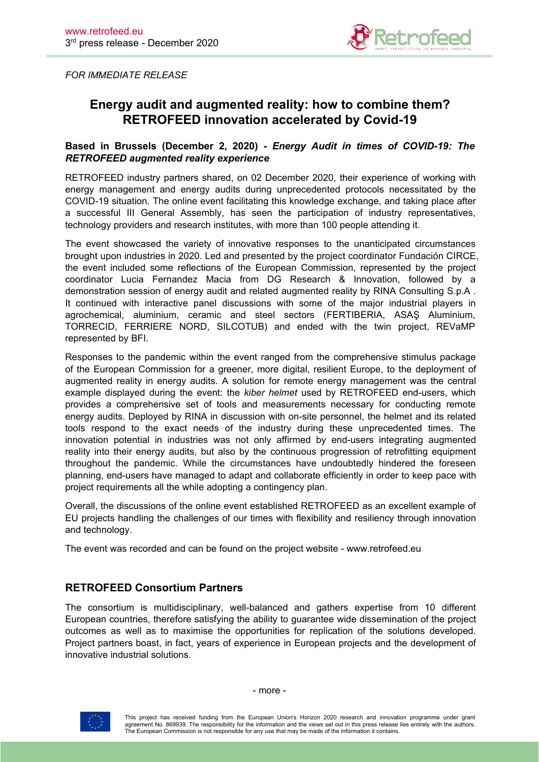

*FOR IMMEDIATE RELEASE*

# **Energy audit and augmented reality: how to combine them? RETROFEED innovation accelerated by Covid-19**

### **Based in Brussels (December 2, 2020) -** *Energy Audit in times of COVID-19: The RETROFEED augmented reality experience*

RETROFEED industry partners shared, on 02 December 2020, their experience of working with energy management and energy audits during unprecedented protocols necessitated by the COVID-19 situation. The online event facilitating this knowledge exchange, and taking place after a successful III General Assembly, has seen the participation of industry representatives, technology providers and research institutes, with more than 100 people attending it.

The event showcased the variety of innovative responses to the unanticipated circumstances brought upon industries in 2020. Led and presented by the project coordinator Fundación CIRCE, the event included some reflections of the European Commission, represented by the project coordinator Lucia Fernandez Macia from DG Research & Innovation, followed by a demonstration session of energy audit and related augmented reality by RINA Consulting S.p.A . It continued with interactive panel discussions with some of the major industrial players in agrochemical, aluminium, ceramic and steel sectors (FERTIBERIA, ASAŞ Aluminium, TORRECID, FERRIERE NORD, SILCOTUB) and ended with the twin project, REVaMP represented by BFI.

Responses to the pandemic within the event ranged from the comprehensive stimulus package of the European Commission for a greener, more digital, resilient Europe, to the deployment of augmented reality in energy audits. A solution for remote energy management was the central example displayed during the event: the *kiber helmet* used by RETROFEED end-users, which provides a comprehensive set of tools and measurements necessary for conducting remote energy audits. Deployed by RINA in discussion with on-site personnel, the helmet and its related tools respond to the exact needs of the industry during these unprecedented times. The innovation potential in industries was not only affirmed by end-users integrating augmented reality into their energy audits, but also by the continuous progression of retrofitting equipment throughout the pandemic. While the circumstances have undoubtedly hindered the foreseen planning, end-users have managed to adapt and collaborate efficiently in order to keep pace with project requirements all the while adopting a contingency plan.

Overall, the discussions of the online event established RETROFEED as an excellent example of EU projects handling the challenges of our times with flexibility and resiliency through innovation and technology.

The event was recorded and can be found on the project website - www.retrofeed.eu

## **RETROFEED Consortium Partners**

The consortium is multidisciplinary, well-balanced and gathers expertise from 10 different European countries, therefore satisfying the ability to guarantee wide dissemination of the project outcomes as well as to maximise the opportunities for replication of the solutions developed. Project partners boast, in fact, years of experience in European projects and the development of innovative industrial solutions.